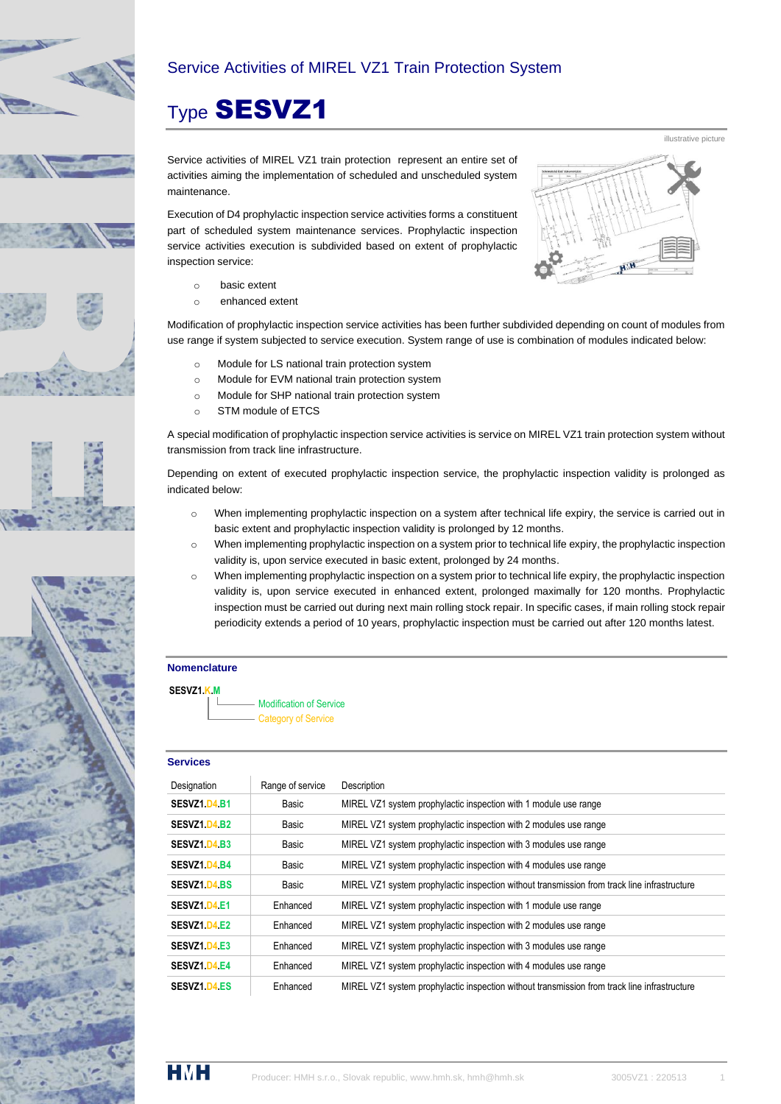

## Service Activities of MIREL VZ1 Train Protection System

# Type SESVZ1

Service activities of MIREL VZ1 train protection represent an entire set of activities aiming the implementation of scheduled and unscheduled system maintenance.

Execution of D4 prophylactic inspection service activities forms a constituent part of scheduled system maintenance services. Prophylactic inspection service activities execution is subdivided based on extent of prophylactic inspection service:

- o basic extent
- o enhanced extent

Modification of prophylactic inspection service activities has been further subdivided depending on count of modules from use range if system subjected to service execution. System range of use is combination of modules indicated below:

- o Module for LS national train protection system
- o Module for EVM national train protection system
- o Module for SHP national train protection system
- o STM module of ETCS

A special modification of prophylactic inspection service activities is service on MIREL VZ1 train protection system without transmission from track line infrastructure.

Depending on extent of executed prophylactic inspection service, the prophylactic inspection validity is prolonged as indicated below:

- o When implementing prophylactic inspection on a system after technical life expiry, the service is carried out in basic extent and prophylactic inspection validity is prolonged by 12 months.
- o When implementing prophylactic inspection on a system prior to technical life expiry, the prophylactic inspection validity is, upon service executed in basic extent, prolonged by 24 months.
- o When implementing prophylactic inspection on a system prior to technical life expiry, the prophylactic inspection validity is, upon service executed in enhanced extent, prolonged maximally for 120 months. Prophylactic inspection must be carried out during next main rolling stock repair. In specific cases, if main rolling stock repair periodicity extends a period of 10 years, prophylactic inspection must be carried out after 120 months latest.

### **Nomenclature**



Modification of Service Category of Service

#### **Services**

| Designation         | Range of service | Description                                                                                  |
|---------------------|------------------|----------------------------------------------------------------------------------------------|
| SESVZ1 D4 B1        | Basic            | MIREL VZ1 system prophylactic inspection with 1 module use range                             |
| SESVZ1 D4 B2        | Basic            | MIREL VZ1 system prophylactic inspection with 2 modules use range                            |
| SESVZ1 D4 B3        | Basic            | MIREL VZ1 system prophylactic inspection with 3 modules use range                            |
| <b>SESVZ1 D4 B4</b> | Basic            | MIREL VZ1 system prophylactic inspection with 4 modules use range                            |
| <b>SESVZ1 D4 BS</b> | Basic            | MIREL VZ1 system prophylactic inspection without transmission from track line infrastructure |
| SESVZ1 D4 E1        | Enhanced         | MIREL VZ1 system prophylactic inspection with 1 module use range                             |
| SESVZ1 D4 E2        | Enhanced         | MIREL VZ1 system prophylactic inspection with 2 modules use range                            |
| SESVZ1 D4 E3        | Enhanced         | MIREL VZ1 system prophylactic inspection with 3 modules use range                            |
| SESVZ1 D4 E4        | Enhanced         | MIREL VZ1 system prophylactic inspection with 4 modules use range                            |
| <b>SESVZ1 D4 ES</b> | Enhanced         | MIREL VZ1 system prophylactic inspection without transmission from track line infrastructure |



illustrative picture